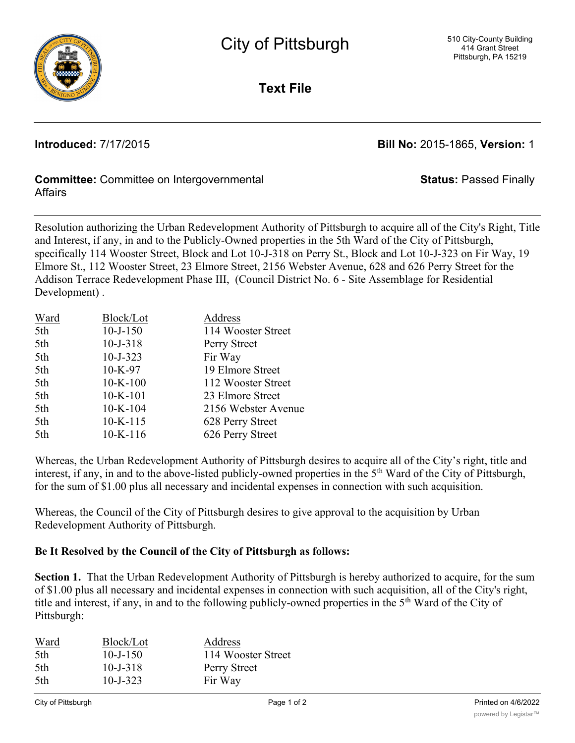

**Text File**

**Introduced:** 7/17/2015 **Bill No:** 2015-1865, **Version:** 1

**Status:** Passed Finally

## **Committee:** Committee on Intergovernmental Affairs

Resolution authorizing the Urban Redevelopment Authority of Pittsburgh to acquire all of the City's Right, Title and Interest, if any, in and to the Publicly-Owned properties in the 5th Ward of the City of Pittsburgh, specifically 114 Wooster Street, Block and Lot 10-J-318 on Perry St., Block and Lot 10-J-323 on Fir Way, 19 Elmore St., 112 Wooster Street, 23 Elmore Street, 2156 Webster Avenue, 628 and 626 Perry Street for the Addison Terrace Redevelopment Phase III, (Council District No. 6 - Site Assemblage for Residential Development) .

| Ward | Block/Lot      | Address             |
|------|----------------|---------------------|
| 5th  | $10 - J - 150$ | 114 Wooster Street  |
| 5th  | $10 - J - 318$ | Perry Street        |
| 5th  | $10 - J - 323$ | Fir Way             |
| 5th  | $10-K-97$      | 19 Elmore Street    |
| 5th  | $10-K-100$     | 112 Wooster Street  |
| 5th  | $10-K-101$     | 23 Elmore Street    |
| 5th  | $10-K-104$     | 2156 Webster Avenue |
| 5th  | $10-K-115$     | 628 Perry Street    |
| 5th  | $10-K-116$     | 626 Perry Street    |

Whereas, the Urban Redevelopment Authority of Pittsburgh desires to acquire all of the City's right, title and interest, if any, in and to the above-listed publicly-owned properties in the 5<sup>th</sup> Ward of the City of Pittsburgh, for the sum of \$1.00 plus all necessary and incidental expenses in connection with such acquisition.

Whereas, the Council of the City of Pittsburgh desires to give approval to the acquisition by Urban Redevelopment Authority of Pittsburgh.

## **Be It Resolved by the Council of the City of Pittsburgh as follows:**

**Section 1.** That the Urban Redevelopment Authority of Pittsburgh is hereby authorized to acquire, for the sum of \$1.00 plus all necessary and incidental expenses in connection with such acquisition, all of the City's right, title and interest, if any, in and to the following publicly-owned properties in the 5<sup>th</sup> Ward of the City of Pittsburgh:

| Ward | Block/Lot      | Address            |
|------|----------------|--------------------|
| 5th  | $10 - J - 150$ | 114 Wooster Street |
| 5th  | $10 - J - 318$ | Perry Street       |
| 5th  | $10 - J - 323$ | Fir Way            |